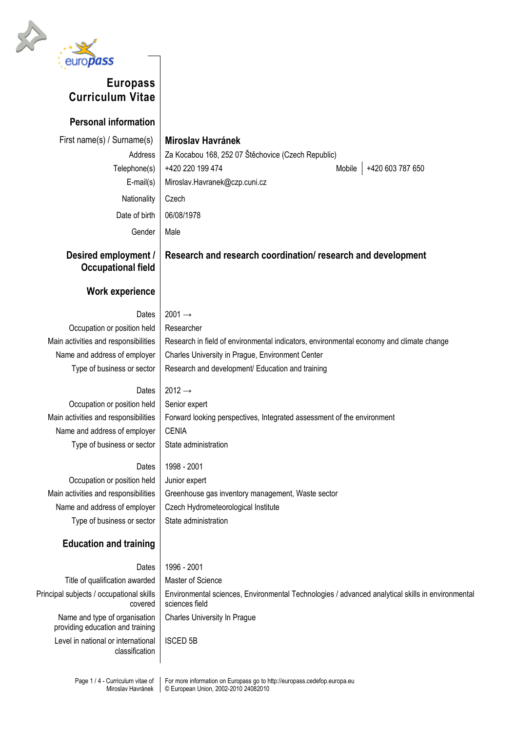

# **Europass Curriculum Vitae**

**Personal information**

| $\overline{\text{151}}$ Hallie(5) / Sufflame(5) |  |  |  |  |  |  |  |  |
|-------------------------------------------------|--|--|--|--|--|--|--|--|
| Address                                         |  |  |  |  |  |  |  |  |
| Telephone(s)                                    |  |  |  |  |  |  |  |  |
| $E$ -mail $(s)$                                 |  |  |  |  |  |  |  |  |
| Nationality                                     |  |  |  |  |  |  |  |  |
| Date of birth                                   |  |  |  |  |  |  |  |  |
|                                                 |  |  |  |  |  |  |  |  |

## First name(s) / Surname(s) **Miroslav Havránek**

Za Kocabou 168, 252 07 Štěchovice (Czech Republic) +420 220 199 474 Mobile +420 603 787 650 Miroslav.Havranek@czp.cuni.cz Czech 06/08/1978 Gender | Male

**Desired employment / Occupational field**

### **Work experience**

#### Dates  $2001 \rightarrow$

Occupation or position held | Researcher

Main activities and responsibilities | Research in field of environmental indicators, environmental economy and climate change Name and address of employer | Charles University in Prague, Environment Center Type of business or sector  $\parallel$  Research and development/ Education and training

**Research and research coordination/ research and development**

Occupation or position held | Senior expert Name and address of employer | CENIA Type of business or sector  $\vert$  State administration

Dates  $2012 \rightarrow$ 

Main activities and responsibilities Forward looking perspectives, Integrated assessment of the environment

Dates | 1998 - 2001 Occupation or position held Junior expert Main activities and responsibilities  $\parallel$  Greenhouse gas inventory management, Waste sector Name and address of employer  $\vert$  Czech Hydrometeorological Institute Type of business or sector  $\vert$  State administration

### **Education and training**

Title of qualification awarded | Master of Science Principal subjects / occupational skills covered Name and type of organisation providing education and training Level in national or international classification

Dates 1996 - 2001 Environmental sciences, Environmental Technologies / advanced analytical skills in environmental sciences field Charles University In Prague

ISCED 5B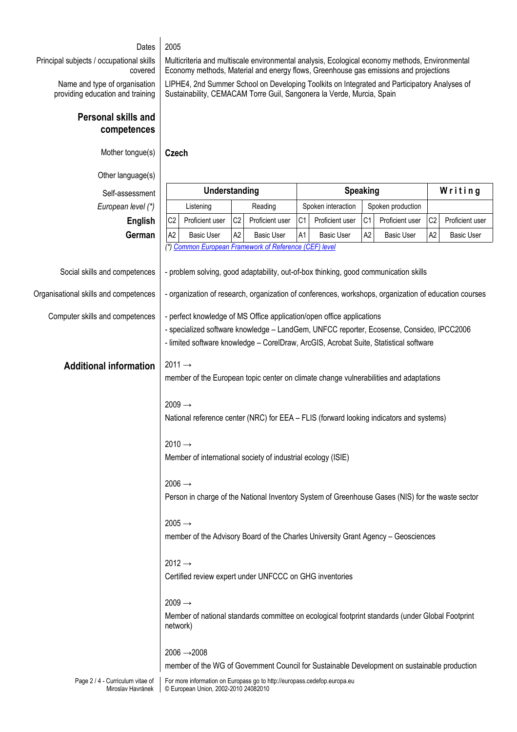#### Dates 2005

Principal subjects / occupational skills covered

> Name and type of organisation providing education and training

Multicriteria and multiscale environmental analysis, Ecological economy methods, Environmental Economy methods, Material and energy flows, Greenhouse gas emissions and projections

LIPHE4, 2nd Summer School on Developing Toolkits on Integrated and Participatory Analyses of Sustainability, CEMACAM Torre Guil, Sangonera la Verde, Murcia, Spain

#### **Personal skills and competences**

Mother tongue(s) **Czech**

| Other language(s)                                     |                                                                                                                                                                                                                                                            |                                      |                                                                                              |                                                                          |                                                                                                                                                                                       |                   |                   |                   |                |                   |  |
|-------------------------------------------------------|------------------------------------------------------------------------------------------------------------------------------------------------------------------------------------------------------------------------------------------------------------|--------------------------------------|----------------------------------------------------------------------------------------------|--------------------------------------------------------------------------|---------------------------------------------------------------------------------------------------------------------------------------------------------------------------------------|-------------------|-------------------|-------------------|----------------|-------------------|--|
| Self-assessment                                       | Understanding                                                                                                                                                                                                                                              |                                      |                                                                                              | <b>Speaking</b>                                                          |                                                                                                                                                                                       |                   |                   | Writing           |                |                   |  |
| European level (*)                                    | Listening                                                                                                                                                                                                                                                  |                                      | Reading                                                                                      |                                                                          | Spoken interaction                                                                                                                                                                    |                   | Spoken production |                   |                |                   |  |
| <b>English</b>                                        | C <sub>2</sub>                                                                                                                                                                                                                                             | Proficient user                      | C <sub>2</sub>                                                                               | Proficient user                                                          | C1                                                                                                                                                                                    | Proficient user   | C <sub>1</sub>    | Proficient user   | C <sub>2</sub> | Proficient user   |  |
| German                                                | A <sub>2</sub>                                                                                                                                                                                                                                             | <b>Basic User</b>                    | A <sub>2</sub>                                                                               | <b>Basic User</b>                                                        | A1                                                                                                                                                                                    | <b>Basic User</b> | A2                | <b>Basic User</b> | A <sub>2</sub> | <b>Basic User</b> |  |
|                                                       |                                                                                                                                                                                                                                                            |                                      |                                                                                              | (*) Common European Framework of Reference (CEF) level                   |                                                                                                                                                                                       |                   |                   |                   |                |                   |  |
| Social skills and competences                         | - problem solving, good adaptability, out-of-box thinking, good communication skills                                                                                                                                                                       |                                      |                                                                                              |                                                                          |                                                                                                                                                                                       |                   |                   |                   |                |                   |  |
| Organisational skills and competences                 | - organization of research, organization of conferences, workshops, organization of education courses                                                                                                                                                      |                                      |                                                                                              |                                                                          |                                                                                                                                                                                       |                   |                   |                   |                |                   |  |
| Computer skills and competences                       | - perfect knowledge of MS Office application/open office applications<br>- specialized software knowledge - LandGem, UNFCC reporter, Ecosense, Consideo, IPCC2006<br>- limited software knowledge - CorelDraw, ArcGIS, Acrobat Suite, Statistical software |                                      |                                                                                              |                                                                          |                                                                                                                                                                                       |                   |                   |                   |                |                   |  |
|                                                       |                                                                                                                                                                                                                                                            |                                      |                                                                                              |                                                                          |                                                                                                                                                                                       |                   |                   |                   |                |                   |  |
| <b>Additional information</b>                         | $2011 \rightarrow$                                                                                                                                                                                                                                         |                                      |                                                                                              |                                                                          |                                                                                                                                                                                       |                   |                   |                   |                |                   |  |
|                                                       | member of the European topic center on climate change vulnerabilities and adaptations                                                                                                                                                                      |                                      |                                                                                              |                                                                          |                                                                                                                                                                                       |                   |                   |                   |                |                   |  |
|                                                       | $2009 \rightarrow$                                                                                                                                                                                                                                         |                                      |                                                                                              |                                                                          |                                                                                                                                                                                       |                   |                   |                   |                |                   |  |
|                                                       | National reference center (NRC) for EEA - FLIS (forward looking indicators and systems)<br>$2010 \rightarrow$<br>Member of international society of industrial ecology (ISIE)                                                                              |                                      |                                                                                              |                                                                          |                                                                                                                                                                                       |                   |                   |                   |                |                   |  |
|                                                       |                                                                                                                                                                                                                                                            |                                      |                                                                                              |                                                                          |                                                                                                                                                                                       |                   |                   |                   |                |                   |  |
|                                                       |                                                                                                                                                                                                                                                            |                                      |                                                                                              |                                                                          |                                                                                                                                                                                       |                   |                   |                   |                |                   |  |
|                                                       |                                                                                                                                                                                                                                                            |                                      |                                                                                              |                                                                          |                                                                                                                                                                                       |                   |                   |                   |                |                   |  |
|                                                       | $2006 \rightarrow$                                                                                                                                                                                                                                         |                                      |                                                                                              |                                                                          | Person in charge of the National Inventory System of Greenhouse Gases (NIS) for the waste sector<br>member of the Advisory Board of the Charles University Grant Agency - Geosciences |                   |                   |                   |                |                   |  |
|                                                       |                                                                                                                                                                                                                                                            |                                      |                                                                                              |                                                                          |                                                                                                                                                                                       |                   |                   |                   |                |                   |  |
|                                                       | $2005 \rightarrow$                                                                                                                                                                                                                                         |                                      |                                                                                              |                                                                          |                                                                                                                                                                                       |                   |                   |                   |                |                   |  |
|                                                       |                                                                                                                                                                                                                                                            |                                      |                                                                                              |                                                                          |                                                                                                                                                                                       |                   |                   |                   |                |                   |  |
|                                                       | $2012 \rightarrow$                                                                                                                                                                                                                                         |                                      |                                                                                              |                                                                          |                                                                                                                                                                                       |                   |                   |                   |                |                   |  |
|                                                       | Certified review expert under UNFCCC on GHG inventories<br>$2009 \rightarrow$                                                                                                                                                                              |                                      |                                                                                              |                                                                          |                                                                                                                                                                                       |                   |                   |                   |                |                   |  |
|                                                       |                                                                                                                                                                                                                                                            |                                      |                                                                                              |                                                                          |                                                                                                                                                                                       |                   |                   |                   |                |                   |  |
|                                                       | Member of national standards committee on ecological footprint standards (under Global Footprint<br>network)                                                                                                                                               |                                      |                                                                                              |                                                                          |                                                                                                                                                                                       |                   |                   |                   |                |                   |  |
|                                                       |                                                                                                                                                                                                                                                            | $2006 \rightarrow 2008$              |                                                                                              |                                                                          |                                                                                                                                                                                       |                   |                   |                   |                |                   |  |
|                                                       |                                                                                                                                                                                                                                                            |                                      | member of the WG of Government Council for Sustainable Development on sustainable production |                                                                          |                                                                                                                                                                                       |                   |                   |                   |                |                   |  |
| Page 2 / 4 - Curriculum vitae of<br>Miroslav Havránek |                                                                                                                                                                                                                                                            | © European Union, 2002-2010 24082010 |                                                                                              | For more information on Europass go to http://europass.cedefop.europa.eu |                                                                                                                                                                                       |                   |                   |                   |                |                   |  |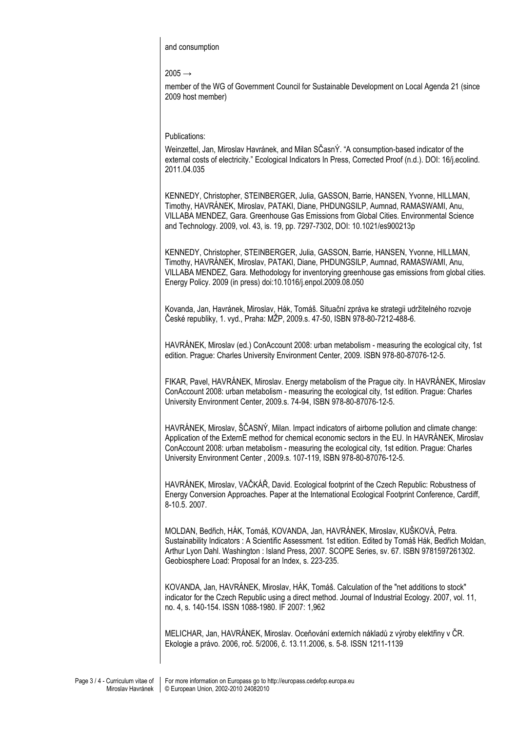and consumption

 $2005 \rightarrow$ 

member of the WG of Government Council for Sustainable Development on Local Agenda 21 (since 2009 host member)

Publications:

Weinzettel, Jan, Miroslav Havránek, and Milan SČasnÝ. "A consumption-based indicator of the external costs of electricity." Ecological Indicators In Press, Corrected Proof (n.d.). DOI: 16/j.ecolind. 2011.04.035

KENNEDY, Christopher, STEINBERGER, Julia, GASSON, Barrie, HANSEN, Yvonne, HILLMAN, Timothy, HAVRÁNEK, Miroslav, PATAKI, Diane, PHDUNGSILP, Aumnad, RAMASWAMI, Anu, VILLABA MENDEZ, Gara. Greenhouse Gas Emissions from Global Cities. Environmental Science and Technology. 2009, vol. 43, is. 19, pp. 7297-7302, DOI: 10.1021/es900213p

KENNEDY, Christopher, STEINBERGER, Julia, GASSON, Barrie, HANSEN, Yvonne, HILLMAN, Timothy, HAVRÁNEK, Miroslav, PATAKI, Diane, PHDUNGSILP, Aumnad, RAMASWAMI, Anu, VILLABA MENDEZ, Gara. Methodology for inventorying greenhouse gas emissions from global cities. Energy Policy. 2009 (in press) doi:10.1016/j.enpol.2009.08.050

Kovanda, Jan, Havránek, Miroslav, Hák, Tomáš. Situační zpráva ke strategii udržitelného rozvoje České republiky, 1. vyd., Praha: MŽP, 2009.s. 47-50, ISBN 978-80-7212-488-6.

HAVRÁNEK, Miroslav (ed.) ConAccount 2008: urban metabolism - measuring the ecological city, 1st edition. Prague: Charles University Environment Center, 2009. ISBN 978-80-87076-12-5.

FIKAR, Pavel, HAVRÁNEK, Miroslav. Energy metabolism of the Prague city. In HAVRÁNEK, Miroslav ConAccount 2008: urban metabolism - measuring the ecological city, 1st edition. Prague: Charles University Environment Center, 2009.s. 74-94, ISBN 978-80-87076-12-5.

HAVRÁNEK, Miroslav, ŠČASNÝ, Milan. Impact indicators of airborne pollution and climate change: Application of the ExternE method for chemical economic sectors in the EU. In HAVRÁNEK, Miroslav ConAccount 2008: urban metabolism - measuring the ecological city, 1st edition. Prague: Charles University Environment Center , 2009.s. 107-119, ISBN 978-80-87076-12-5.

HAVRÁNEK, Miroslav, VAČKÁŘ, David. Ecological footprint of the Czech Republic: Robustness of Energy Conversion Approaches. Paper at the International Ecological Footprint Conference, Cardiff, 8-10.5. 2007.

MOLDAN, Bedřich, HÁK, Tomáš, KOVANDA, Jan, HAVRÁNEK, Miroslav, KUŠKOVÁ, Petra. Sustainability Indicators : A Scientific Assessment. 1st edition. Edited by Tomáš Hák, Bedřich Moldan, Arthur Lyon Dahl. Washington : Island Press, 2007. SCOPE Series, sv. 67. ISBN 9781597261302. Geobiosphere Load: Proposal for an Index, s. 223-235.

KOVANDA, Jan, HAVRÁNEK, Miroslav, HÁK, Tomáš. Calculation of the "net additions to stock" indicator for the Czech Republic using a direct method. Journal of Industrial Ecology. 2007, vol. 11, no. 4, s. 140-154. ISSN 1088-1980. IF 2007: 1,962

MELICHAR, Jan, HAVRÁNEK, Miroslav. Oceňování externích nákladů z výroby elektřiny v ČR. Ekologie a právo. 2006, roč. 5/2006, č. 13.11.2006, s. 5-8. ISSN 1211-1139